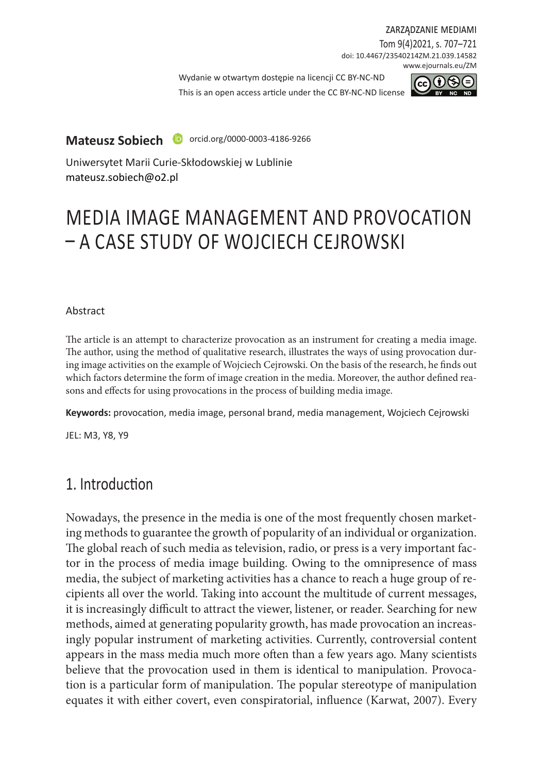zarządzanie mediami

Tom 9(4)2021, s. 707–721 doi: 10.4467/23540214ZM.21.039.14582 www.ejournals.eu/ZM

Wydanie w otwartym dostepie na licencii CC BY-NC-ND

This is an open access article under the CC BY-NC-ND license



**Mateusz Sobiech D** orcid.org/0000-0003-4186-9266

Uniwersytet Marii Curie-Skłodowskiej w Lublinie mateusz.sobiech@o2.pl

# MEDIA IMAGE MANAGEMENT AND PROVOCATION – A CASE STUDY OF WOJCIECH CEJROWSKI

#### Abstract

The article is an attempt to characterize provocation as an instrument for creating a media image. The author, using the method of qualitative research, illustrates the ways of using provocation during image activities on the example of Wojciech Cejrowski. On the basis of the research, he finds out which factors determine the form of image creation in the media. Moreover, the author defined reasons and effects for using provocations in the process of building media image.

**Keywords:** provocation, media image, personal brand, media management, Wojciech Cejrowski

JEL: M3, Y8, Y9

## 1. Introduction

Nowadays, the presence in the media is one of the most frequently chosen marketing methods to guarantee the growth of popularity of an individual or organization. The global reach of such media as television, radio, or press is a very important factor in the process of media image building. Owing to the omnipresence of mass media, the subject of marketing activities has a chance to reach a huge group of recipients all over the world. Taking into account the multitude of current messages, it is increasingly difficult to attract the viewer, listener, or reader. Searching for new methods, aimed at generating popularity growth, has made provocation an increasingly popular instrument of marketing activities. Currently, controversial content appears in the mass media much more often than a few years ago. Many scientists believe that the provocation used in them is identical to manipulation. Provocation is a particular form of manipulation. The popular stereotype of manipulation equates it with either covert, even conspiratorial, influence (Karwat, 2007). Every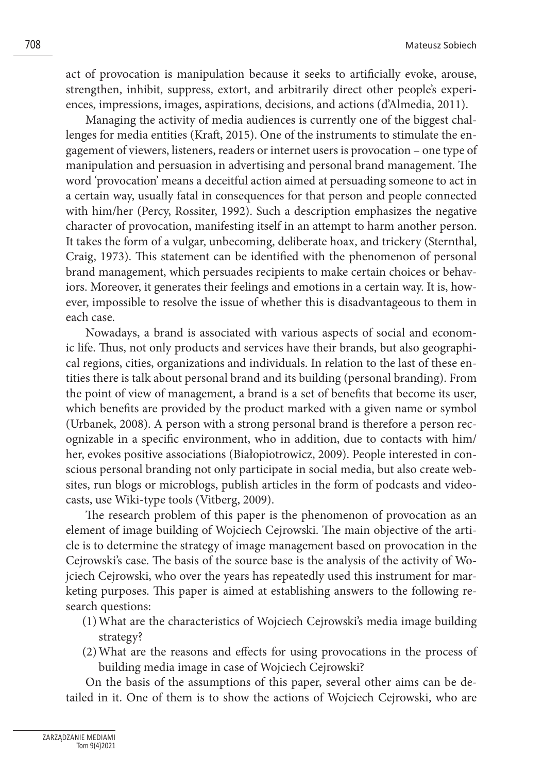act of provocation is manipulation because it seeks to artificially evoke, arouse, strengthen, inhibit, suppress, extort, and arbitrarily direct other people's experiences, impressions, images, aspirations, decisions, and actions (d'Almedia, 2011).

Managing the activity of media audiences is currently one of the biggest challenges for media entities (Kraft, 2015). One of the instruments to stimulate the engagement of viewers, listeners, readers or internet users is provocation – one type of manipulation and persuasion in advertising and personal brand management. The word 'provocation' means a deceitful action aimed at persuading someone to act in a certain way, usually fatal in consequences for that person and people connected with him/her (Percy, Rossiter, 1992). Such a description emphasizes the negative character of provocation, manifesting itself in an attempt to harm another person. It takes the form of a vulgar, unbecoming, deliberate hoax, and trickery (Sternthal, Craig, 1973). This statement can be identified with the phenomenon of personal brand management, which persuades recipients to make certain choices or behaviors. Moreover, it generates their feelings and emotions in a certain way. It is, however, impossible to resolve the issue of whether this is disadvantageous to them in each case.

Nowadays, a brand is associated with various aspects of social and economic life. Thus, not only products and services have their brands, but also geographical regions, cities, organizations and individuals. In relation to the last of these entities there is talk about personal brand and its building (personal branding). From the point of view of management, a brand is a set of benefits that become its user, which benefits are provided by the product marked with a given name or symbol (Urbanek, 2008). A person with a strong personal brand is therefore a person recognizable in a specific environment, who in addition, due to contacts with him/ her, evokes positive associations (Białopiotrowicz, 2009). People interested in conscious personal branding not only participate in social media, but also create websites, run blogs or microblogs, publish articles in the form of podcasts and videocasts, use Wiki-type tools (Vitberg, 2009).

The research problem of this paper is the phenomenon of provocation as an element of image building of Wojciech Cejrowski. The main objective of the article is to determine the strategy of image management based on provocation in the Cejrowski's case. The basis of the source base is the analysis of the activity of Wojciech Cejrowski, who over the years has repeatedly used this instrument for marketing purposes. This paper is aimed at establishing answers to the following research questions:

- (1)What are the characteristics of Wojciech Cejrowski's media image building strategy?
- (2)What are the reasons and effects for using provocations in the process of building media image in case of Wojciech Cejrowski?

On the basis of the assumptions of this paper, several other aims can be detailed in it. One of them is to show the actions of Wojciech Cejrowski, who are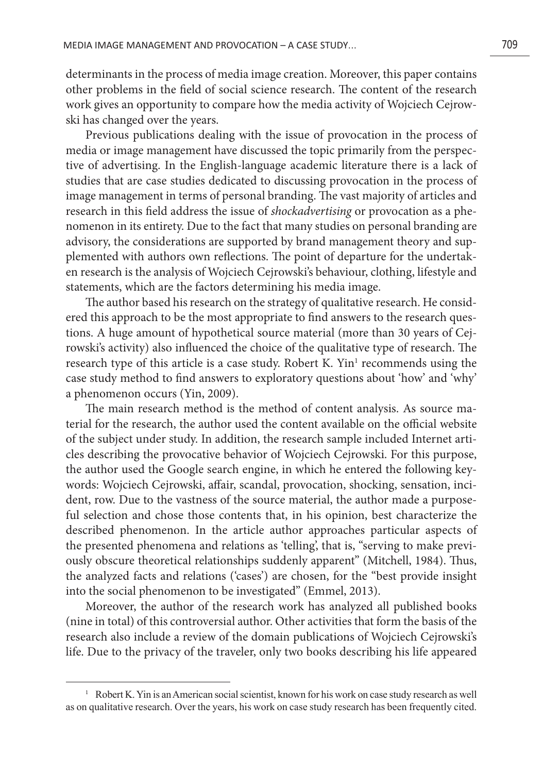determinants in the process of media image creation. Moreover, this paper contains other problems in the field of social science research. The content of the research work gives an opportunity to compare how the media activity of Wojciech Cejrowski has changed over the years.

Previous publications dealing with the issue of provocation in the process of media or image management have discussed the topic primarily from the perspective of advertising. In the English-language academic literature there is a lack of studies that are case studies dedicated to discussing provocation in the process of image management in terms of personal branding. The vast majority of articles and research in this field address the issue of *shockadvertising* or provocation as a phenomenon in its entirety. Due to the fact that many studies on personal branding are advisory, the considerations are supported by brand management theory and supplemented with authors own reflections. The point of departure for the undertaken research is the analysis of Wojciech Cejrowski's behaviour, clothing, lifestyle and statements, which are the factors determining his media image.

The author based his research on the strategy of qualitative research. He considered this approach to be the most appropriate to find answers to the research questions. A huge amount of hypothetical source material (more than 30 years of Cejrowski's activity) also influenced the choice of the qualitative type of research. The research type of this article is a case study. Robert K. Yin<sup>1</sup> recommends using the case study method to find answers to exploratory questions about 'how' and 'why' a phenomenon occurs (Yin, 2009).

The main research method is the method of content analysis. As source material for the research, the author used the content available on the official website of the subject under study. In addition, the research sample included Internet articles describing the provocative behavior of Wojciech Cejrowski. For this purpose, the author used the Google search engine, in which he entered the following keywords: Wojciech Cejrowski, affair, scandal, provocation, shocking, sensation, incident, row. Due to the vastness of the source material, the author made a purposeful selection and chose those contents that, in his opinion, best characterize the described phenomenon. In the article author approaches particular aspects of the presented phenomena and relations as 'telling', that is, "serving to make previously obscure theoretical relationships suddenly apparent" (Mitchell, 1984). Thus, the analyzed facts and relations ('cases') are chosen, for the "best provide insight into the social phenomenon to be investigated" (Emmel, 2013).

Moreover, the author of the research work has analyzed all published books (nine in total) of this controversial author. Other activities that form the basis of the research also include a review of the domain publications of Wojciech Cejrowski's life. Due to the privacy of the traveler, only two books describing his life appeared

<sup>&</sup>lt;sup>1</sup> Robert K. Yin is an American social scientist, known for his work on case study research as well as on qualitative research. Over the years, his work on case study research has been frequently cited.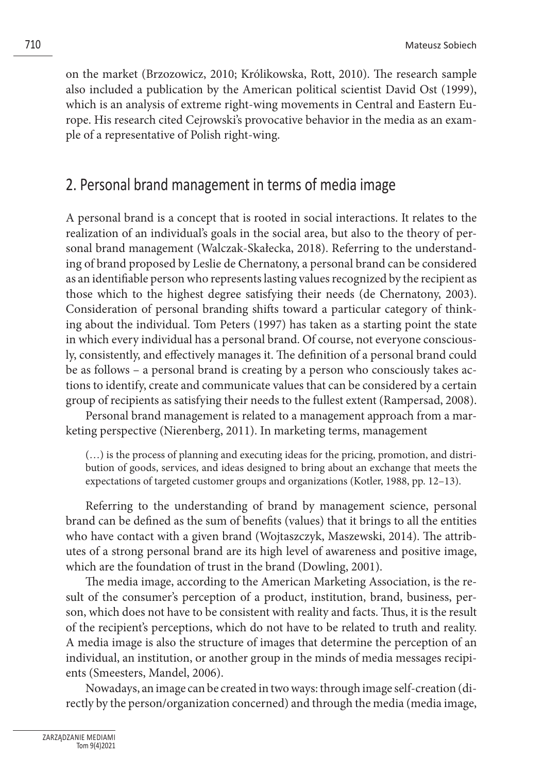on the market (Brzozowicz, 2010; Królikowska, Rott, 2010). The research sample also included a publication by the American political scientist David Ost (1999), which is an analysis of extreme right-wing movements in Central and Eastern Europe. His research cited Cejrowski's provocative behavior in the media as an example of a representative of Polish right-wing.

### 2. Personal brand management in terms of media image

A personal brand is a concept that is rooted in social interactions. It relates to the realization of an individual's goals in the social area, but also to the theory of personal brand management (Walczak-Skałecka, 2018). Referring to the understanding of brand proposed by Leslie de Chernatony, a personal brand can be considered as an identifiable person who represents lasting values recognized by the recipient as those which to the highest degree satisfying their needs (de Chernatony, 2003). Consideration of personal branding shifts toward a particular category of thinking about the individual. Tom Peters (1997) has taken as a starting point the state in which every individual has a personal brand. Of course, not everyone consciously, consistently, and effectively manages it. The definition of a personal brand could be as follows – a personal brand is creating by a person who consciously takes actions to identify, create and communicate values that can be considered by a certain group of recipients as satisfying their needs to the fullest extent (Rampersad, 2008).

Personal brand management is related to a management approach from a marketing perspective (Nierenberg, 2011). In marketing terms, management

(…) is the process of planning and executing ideas for the pricing, promotion, and distribution of goods, services, and ideas designed to bring about an exchange that meets the expectations of targeted customer groups and organizations (Kotler, 1988, pp. 12–13).

Referring to the understanding of brand by management science, personal brand can be defined as the sum of benefits (values) that it brings to all the entities who have contact with a given brand (Wojtaszczyk, Maszewski, 2014). The attributes of a strong personal brand are its high level of awareness and positive image, which are the foundation of trust in the brand (Dowling, 2001).

The media image, according to the American Marketing Association, is the result of the consumer's perception of a product, institution, brand, business, person, which does not have to be consistent with reality and facts. Thus, it is the result of the recipient's perceptions, which do not have to be related to truth and reality. A media image is also the structure of images that determine the perception of an individual, an institution, or another group in the minds of media messages recipients (Smeesters, Mandel, 2006).

Nowadays, an image can be created in two ways: through image self-creation (directly by the person/organization concerned) and through the media (media image,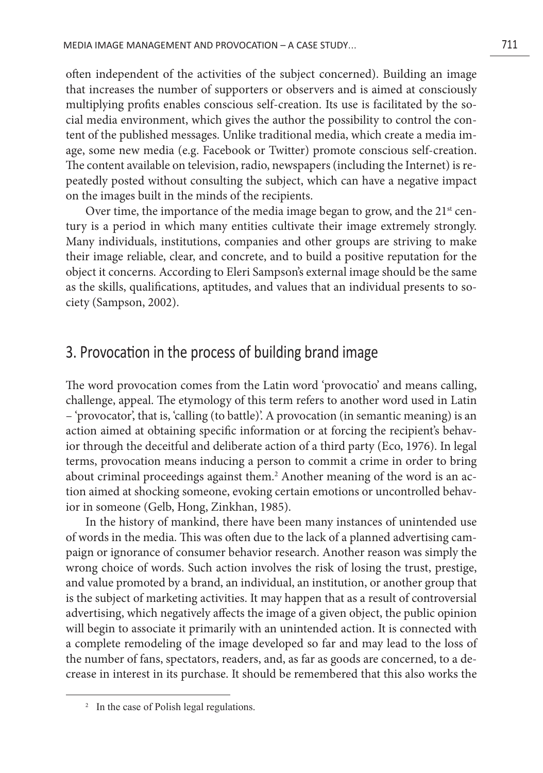often independent of the activities of the subject concerned). Building an image that increases the number of supporters or observers and is aimed at consciously multiplying profits enables conscious self-creation. Its use is facilitated by the social media environment, which gives the author the possibility to control the content of the published messages. Unlike traditional media, which create a media image, some new media (e.g. Facebook or Twitter) promote conscious self-creation. The content available on television, radio, newspapers (including the Internet) is repeatedly posted without consulting the subject, which can have a negative impact on the images built in the minds of the recipients.

Over time, the importance of the media image began to grow, and the  $21<sup>st</sup>$  century is a period in which many entities cultivate their image extremely strongly. Many individuals, institutions, companies and other groups are striving to make their image reliable, clear, and concrete, and to build a positive reputation for the object it concerns. According to Eleri Sampson's external image should be the same as the skills, qualifications, aptitudes, and values that an individual presents to society (Sampson, 2002).

### 3. Provocation in the process of building brand image

The word provocation comes from the Latin word 'provocatio' and means calling, challenge, appeal. The etymology of this term refers to another word used in Latin – 'provocator', that is, 'calling (to battle)'. A provocation (in semantic meaning) is an action aimed at obtaining specific information or at forcing the recipient's behavior through the deceitful and deliberate action of a third party (Eco, 1976). In legal terms, provocation means inducing a person to commit a crime in order to bring about criminal proceedings against them.<sup>2</sup> Another meaning of the word is an action aimed at shocking someone, evoking certain emotions or uncontrolled behavior in someone (Gelb, Hong, Zinkhan, 1985).

In the history of mankind, there have been many instances of unintended use of words in the media. This was often due to the lack of a planned advertising campaign or ignorance of consumer behavior research. Another reason was simply the wrong choice of words. Such action involves the risk of losing the trust, prestige, and value promoted by a brand, an individual, an institution, or another group that is the subject of marketing activities. It may happen that as a result of controversial advertising, which negatively affects the image of a given object, the public opinion will begin to associate it primarily with an unintended action. It is connected with a complete remodeling of the image developed so far and may lead to the loss of the number of fans, spectators, readers, and, as far as goods are concerned, to a decrease in interest in its purchase. It should be remembered that this also works the

<sup>&</sup>lt;sup>2</sup> In the case of Polish legal regulations.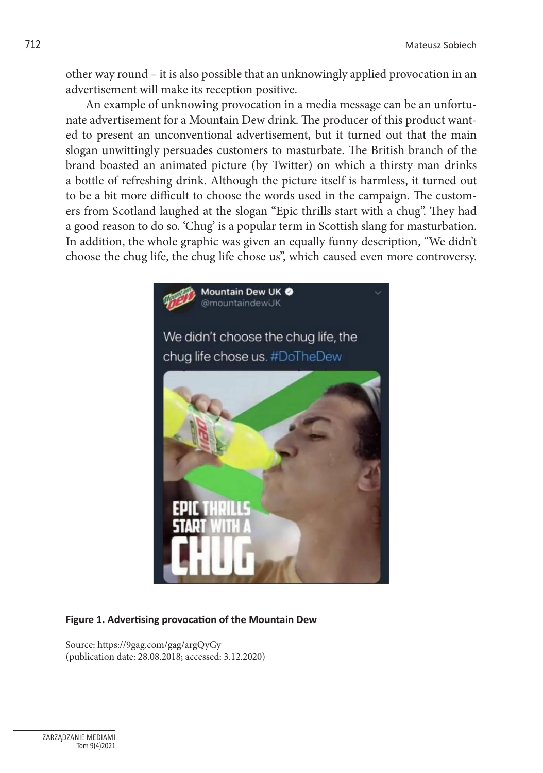other way round – it is also possible that an unknowingly applied provocation in an advertisement will make its reception positive.

An example of unknowing provocation in a media message can be an unfortunate advertisement for a Mountain Dew drink. The producer of this product wanted to present an unconventional advertisement, but it turned out that the main slogan unwittingly persuades customers to masturbate. The British branch of the brand boasted an animated picture (by Twitter) on which a thirsty man drinks a bottle of refreshing drink. Although the picture itself is harmless, it turned out to be a bit more difficult to choose the words used in the campaign. The customers from Scotland laughed at the slogan "Epic thrills start with a chug". They had a good reason to do so. 'Chug' is a popular term in Scottish slang for masturbation. In addition, the whole graphic was given an equally funny description, "We didn't choose the chug life, the chug life chose us", which caused even more controversy.



#### **Figure 1. Advertising provocation of the Mountain Dew**

Source: https://9gag.com/gag/argQyGy (publication date: 28.08.2018; accessed: 3.12.2020)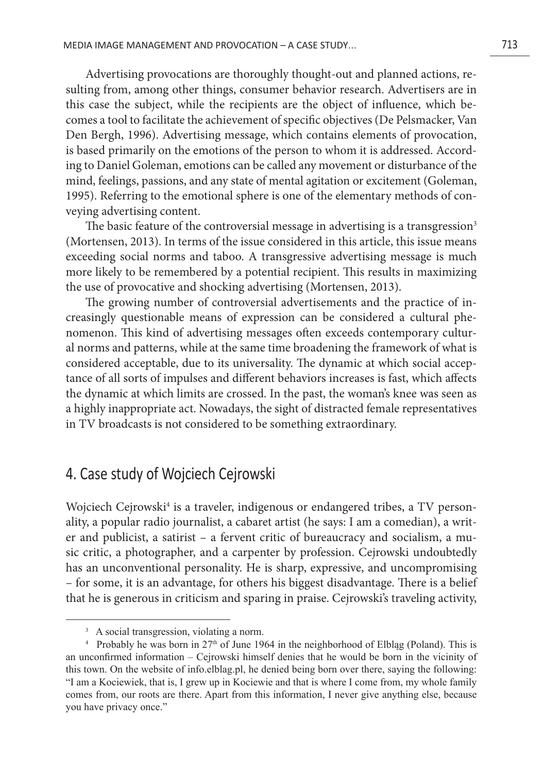Advertising provocations are thoroughly thought-out and planned actions, resulting from, among other things, consumer behavior research. Advertisers are in this case the subject, while the recipients are the object of influence, which becomes a tool to facilitate the achievement of specific objectives (De Pelsmacker, Van Den Bergh, 1996). Advertising message, which contains elements of provocation, is based primarily on the emotions of the person to whom it is addressed. According to Daniel Goleman, emotions can be called any movement or disturbance of the mind, feelings, passions, and any state of mental agitation or excitement (Goleman, 1995). Referring to the emotional sphere is one of the elementary methods of conveying advertising content.

The basic feature of the controversial message in advertising is a transgression<sup>3</sup> (Mortensen, 2013). In terms of the issue considered in this article, this issue means exceeding social norms and taboo. A transgressive advertising message is much more likely to be remembered by a potential recipient. This results in maximizing the use of provocative and shocking advertising (Mortensen, 2013).

The growing number of controversial advertisements and the practice of increasingly questionable means of expression can be considered a cultural phenomenon. This kind of advertising messages often exceeds contemporary cultural norms and patterns, while at the same time broadening the framework of what is considered acceptable, due to its universality. The dynamic at which social acceptance of all sorts of impulses and different behaviors increases is fast, which affects the dynamic at which limits are crossed. In the past, the woman's knee was seen as a highly inappropriate act. Nowadays, the sight of distracted female representatives in TV broadcasts is not considered to be something extraordinary.

### 4. Case study of Wojciech Cejrowski

Wojciech Cejrowski<sup>4</sup> is a traveler, indigenous or endangered tribes, a TV personality, a popular radio journalist, a cabaret artist (he says: I am a comedian), a writer and publicist, a satirist – a fervent critic of bureaucracy and socialism, a music critic, a photographer, and a carpenter by profession. Cejrowski undoubtedly has an unconventional personality. He is sharp, expressive, and uncompromising – for some, it is an advantage, for others his biggest disadvantage. There is a belief that he is generous in criticism and sparing in praise. Cejrowski's traveling activity,

<sup>&</sup>lt;sup>3</sup> A social transgression, violating a norm.

Probably he was born in  $27<sup>th</sup>$  of June 1964 in the neighborhood of Elbląg (Poland). This is an unconfirmed information – Cejrowski himself denies that he would be born in the vicinity of this town. On the website of info.elblag.pl, he denied being born over there, saying the following: "I am a Kociewiek, that is, I grew up in Kociewie and that is where I come from, my whole family comes from, our roots are there. Apart from this information, I never give anything else, because you have privacy once."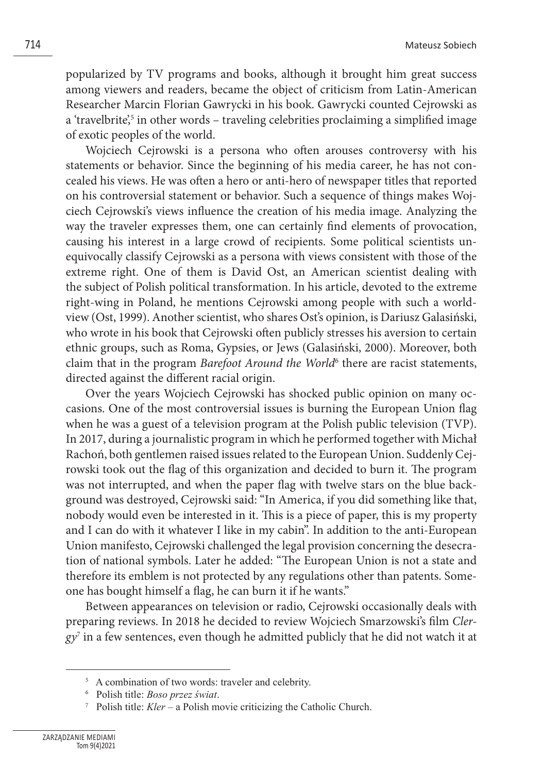popularized by TV programs and books, although it brought him great success among viewers and readers, became the object of criticism from Latin-American Researcher Marcin Florian Gawrycki in his book. Gawrycki counted Cejrowski as a 'travelbrite',<sup>5</sup> in other words – traveling celebrities proclaiming a simplified image of exotic peoples of the world.

Wojciech Cejrowski is a persona who often arouses controversy with his statements or behavior. Since the beginning of his media career, he has not concealed his views. He was often a hero or anti-hero of newspaper titles that reported on his controversial statement or behavior. Such a sequence of things makes Wojciech Cejrowski's views influence the creation of his media image. Analyzing the way the traveler expresses them, one can certainly find elements of provocation, causing his interest in a large crowd of recipients. Some political scientists unequivocally classify Cejrowski as a persona with views consistent with those of the extreme right. One of them is David Ost, an American scientist dealing with the subject of Polish political transformation. In his article, devoted to the extreme right-wing in Poland, he mentions Cejrowski among people with such a worldview (Ost, 1999). Another scientist, who shares Ost's opinion, is Dariusz Galasiński, who wrote in his book that Cejrowski often publicly stresses his aversion to certain ethnic groups, such as Roma, Gypsies, or Jews (Galasiński, 2000). Moreover, both claim that in the program *Barefoot Around the World*<sup>6</sup> there are racist statements, directed against the different racial origin.

Over the years Wojciech Cejrowski has shocked public opinion on many occasions. One of the most controversial issues is burning the European Union flag when he was a guest of a television program at the Polish public television (TVP). In 2017, during a journalistic program in which he performed together with Michał Rachoń, both gentlemen raised issues related to the European Union. Suddenly Cejrowski took out the flag of this organization and decided to burn it. The program was not interrupted, and when the paper flag with twelve stars on the blue background was destroyed, Cejrowski said: "In America, if you did something like that, nobody would even be interested in it. This is a piece of paper, this is my property and I can do with it whatever I like in my cabin". In addition to the anti-European Union manifesto, Cejrowski challenged the legal provision concerning the desecration of national symbols. Later he added: "The European Union is not a state and therefore its emblem is not protected by any regulations other than patents. Someone has bought himself a flag, he can burn it if he wants."

Between appearances on television or radio, Cejrowski occasionally deals with preparing reviews. In 2018 he decided to review Wojciech Smarzowski's film *Clergy*<sup>7</sup> in a few sentences, even though he admitted publicly that he did not watch it at

<sup>&</sup>lt;sup>5</sup> A combination of two words: traveler and celebrity.

<sup>6</sup> Polish title: *Boso przez świat*.

<sup>7</sup> Polish title: *Kler* – a Polish movie criticizing the Catholic Church.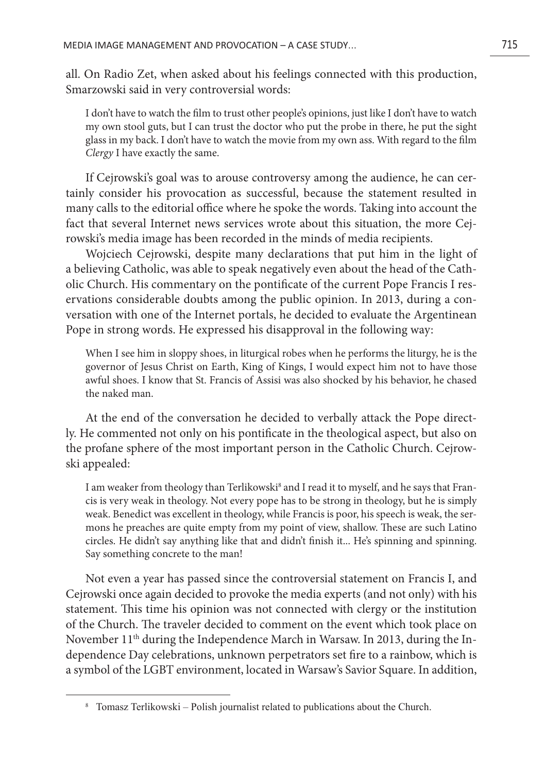all. On Radio Zet, when asked about his feelings connected with this production, Smarzowski said in very controversial words:

I don't have to watch the film to trust other people's opinions, just like I don't have to watch my own stool guts, but I can trust the doctor who put the probe in there, he put the sight glass in my back. I don't have to watch the movie from my own ass. With regard to the film *Clergy* I have exactly the same.

If Cejrowski's goal was to arouse controversy among the audience, he can certainly consider his provocation as successful, because the statement resulted in many calls to the editorial office where he spoke the words. Taking into account the fact that several Internet news services wrote about this situation, the more Cejrowski's media image has been recorded in the minds of media recipients.

Wojciech Cejrowski, despite many declarations that put him in the light of a believing Catholic, was able to speak negatively even about the head of the Catholic Church. His commentary on the pontificate of the current Pope Francis I reservations considerable doubts among the public opinion. In 2013, during a conversation with one of the Internet portals, he decided to evaluate the Argentinean Pope in strong words. He expressed his disapproval in the following way:

When I see him in sloppy shoes, in liturgical robes when he performs the liturgy, he is the governor of Jesus Christ on Earth, King of Kings, I would expect him not to have those awful shoes. I know that St. Francis of Assisi was also shocked by his behavior, he chased the naked man.

At the end of the conversation he decided to verbally attack the Pope directly. He commented not only on his pontificate in the theological aspect, but also on the profane sphere of the most important person in the Catholic Church. Cejrowski appealed:

I am weaker from theology than Terlikowski<sup>8</sup> and I read it to myself, and he says that Francis is very weak in theology. Not every pope has to be strong in theology, but he is simply weak. Benedict was excellent in theology, while Francis is poor, his speech is weak, the sermons he preaches are quite empty from my point of view, shallow. These are such Latino circles. He didn't say anything like that and didn't finish it... He's spinning and spinning. Say something concrete to the man!

Not even a year has passed since the controversial statement on Francis I, and Cejrowski once again decided to provoke the media experts (and not only) with his statement. This time his opinion was not connected with clergy or the institution of the Church. The traveler decided to comment on the event which took place on November 11th during the Independence March in Warsaw. In 2013, during the Independence Day celebrations, unknown perpetrators set fire to a rainbow, which is a symbol of the LGBT environment, located in Warsaw's Savior Square. In addition,

<sup>8</sup> Tomasz Terlikowski – Polish journalist related to publications about the Church.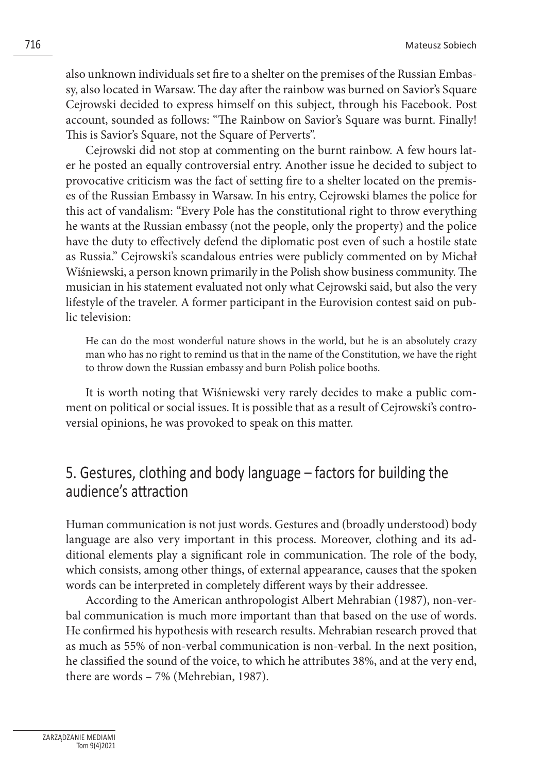also unknown individuals set fire to a shelter on the premises of the Russian Embassy, also located in Warsaw. The day after the rainbow was burned on Savior's Square Cejrowski decided to express himself on this subject, through his Facebook. Post account, sounded as follows: "The Rainbow on Savior's Square was burnt. Finally! This is Savior's Square, not the Square of Perverts".

Cejrowski did not stop at commenting on the burnt rainbow. A few hours later he posted an equally controversial entry. Another issue he decided to subject to provocative criticism was the fact of setting fire to a shelter located on the premises of the Russian Embassy in Warsaw. In his entry, Cejrowski blames the police for this act of vandalism: "Every Pole has the constitutional right to throw everything he wants at the Russian embassy (not the people, only the property) and the police have the duty to effectively defend the diplomatic post even of such a hostile state as Russia." Cejrowski's scandalous entries were publicly commented on by Michał Wiśniewski, a person known primarily in the Polish show business community. The musician in his statement evaluated not only what Cejrowski said, but also the very lifestyle of the traveler. A former participant in the Eurovision contest said on public television:

He can do the most wonderful nature shows in the world, but he is an absolutely crazy man who has no right to remind us that in the name of the Constitution, we have the right to throw down the Russian embassy and burn Polish police booths.

It is worth noting that Wiśniewski very rarely decides to make a public comment on political or social issues. It is possible that as a result of Cejrowski's controversial opinions, he was provoked to speak on this matter.

## 5. Gestures, clothing and body language – factors for building the audience's attraction

Human communication is not just words. Gestures and (broadly understood) body language are also very important in this process. Moreover, clothing and its additional elements play a significant role in communication. The role of the body, which consists, among other things, of external appearance, causes that the spoken words can be interpreted in completely different ways by their addressee.

According to the American anthropologist Albert Mehrabian (1987), non-verbal communication is much more important than that based on the use of words. He confirmed his hypothesis with research results. Mehrabian research proved that as much as 55% of non-verbal communication is non-verbal. In the next position, he classified the sound of the voice, to which he attributes 38%, and at the very end, there are words – 7% (Mehrebian, 1987).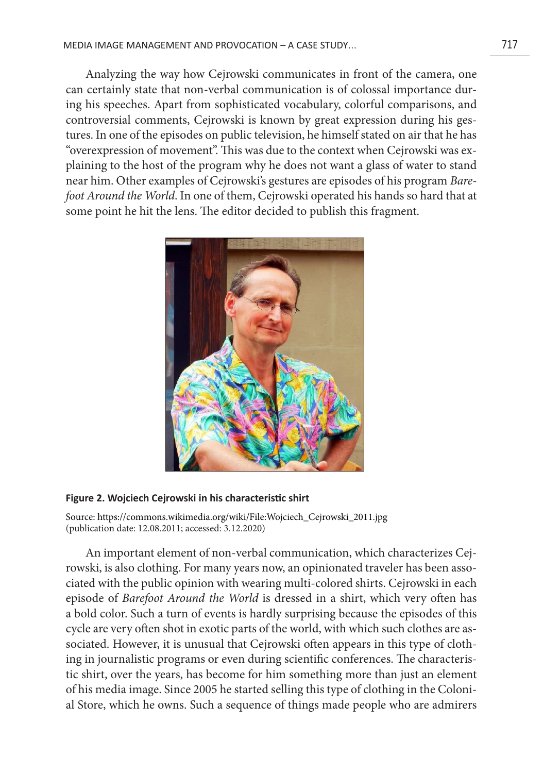Analyzing the way how Cejrowski communicates in front of the camera, one can certainly state that non-verbal communication is of colossal importance during his speeches. Apart from sophisticated vocabulary, colorful comparisons, and controversial comments, Cejrowski is known by great expression during his gestures. In one of the episodes on public television, he himself stated on air that he has "overexpression of movement". This was due to the context when Cejrowski was explaining to the host of the program why he does not want a glass of water to stand near him. Other examples of Cejrowski's gestures are episodes of his program *Barefoot Around the World*. In one of them, Cejrowski operated his hands so hard that at some point he hit the lens. The editor decided to publish this fragment.



#### **Figure 2. Wojciech Cejrowski in his characteristic shirt**

Source: https://commons.wikimedia.org/wiki/File:Wojciech\_Cejrowski\_2011.jpg (publication date: 12.08.2011; accessed: 3.12.2020)

An important element of non-verbal communication, which characterizes Cejrowski, is also clothing. For many years now, an opinionated traveler has been associated with the public opinion with wearing multi-colored shirts. Cejrowski in each episode of *Barefoot Around the World* is dressed in a shirt, which very often has a bold color. Such a turn of events is hardly surprising because the episodes of this cycle are very often shot in exotic parts of the world, with which such clothes are associated. However, it is unusual that Cejrowski often appears in this type of clothing in journalistic programs or even during scientific conferences. The characteristic shirt, over the years, has become for him something more than just an element of his media image. Since 2005 he started selling this type of clothing in the Colonial Store, which he owns. Such a sequence of things made people who are admirers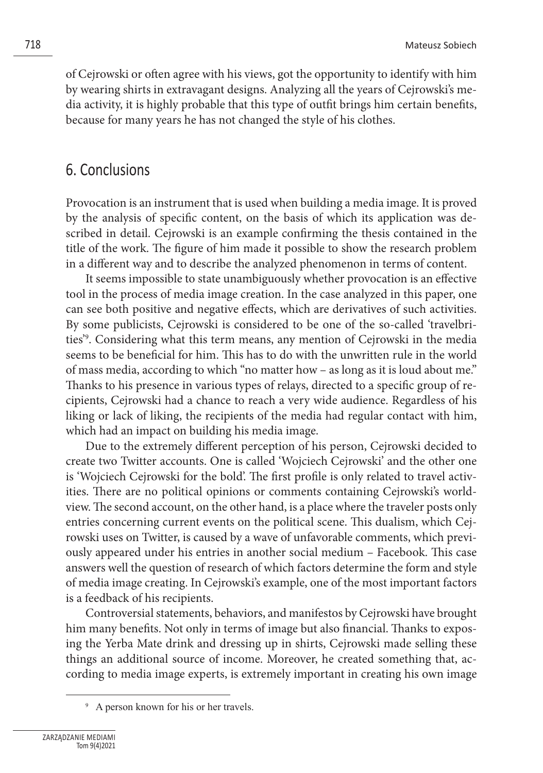of Cejrowski or often agree with his views, got the opportunity to identify with him by wearing shirts in extravagant designs. Analyzing all the years of Cejrowski's media activity, it is highly probable that this type of outfit brings him certain benefits, because for many years he has not changed the style of his clothes.

### 6. Conclusions

Provocation is an instrument that is used when building a media image. It is proved by the analysis of specific content, on the basis of which its application was described in detail. Cejrowski is an example confirming the thesis contained in the title of the work. The figure of him made it possible to show the research problem in a different way and to describe the analyzed phenomenon in terms of content.

It seems impossible to state unambiguously whether provocation is an effective tool in the process of media image creation. In the case analyzed in this paper, one can see both positive and negative effects, which are derivatives of such activities. By some publicists, Cejrowski is considered to be one of the so-called 'travelbrities'9 . Considering what this term means, any mention of Cejrowski in the media seems to be beneficial for him. This has to do with the unwritten rule in the world of mass media, according to which "no matter how – as long as it is loud about me." Thanks to his presence in various types of relays, directed to a specific group of recipients, Cejrowski had a chance to reach a very wide audience. Regardless of his liking or lack of liking, the recipients of the media had regular contact with him, which had an impact on building his media image.

Due to the extremely different perception of his person, Cejrowski decided to create two Twitter accounts. One is called 'Wojciech Cejrowski' and the other one is 'Wojciech Cejrowski for the bold'. The first profile is only related to travel activities. There are no political opinions or comments containing Cejrowski's worldview. The second account, on the other hand, is a place where the traveler posts only entries concerning current events on the political scene. This dualism, which Cejrowski uses on Twitter, is caused by a wave of unfavorable comments, which previously appeared under his entries in another social medium – Facebook. This case answers well the question of research of which factors determine the form and style of media image creating. In Cejrowski's example, one of the most important factors is a feedback of his recipients.

Controversial statements, behaviors, and manifestos by Cejrowski have brought him many benefits. Not only in terms of image but also financial. Thanks to exposing the Yerba Mate drink and dressing up in shirts, Cejrowski made selling these things an additional source of income. Moreover, he created something that, according to media image experts, is extremely important in creating his own image

<sup>9</sup> A person known for his or her travels.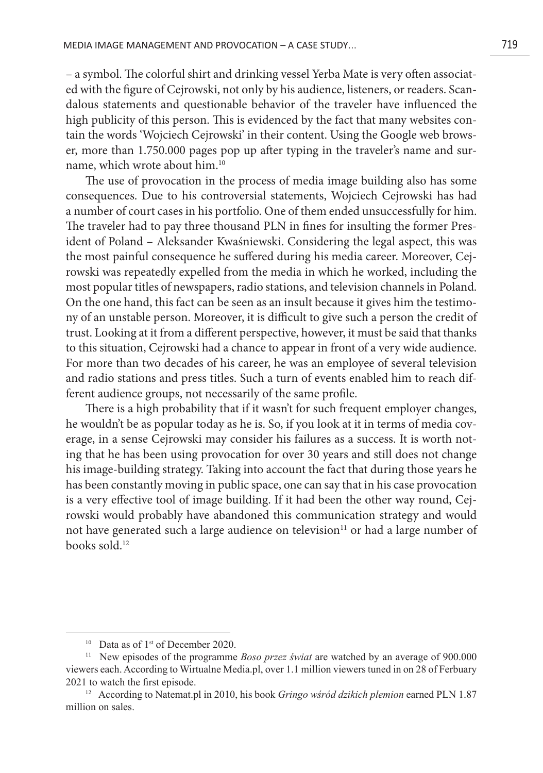– a symbol. The colorful shirt and drinking vessel Yerba Mate is very often associated with the figure of Cejrowski, not only by his audience, listeners, or readers. Scandalous statements and questionable behavior of the traveler have influenced the high publicity of this person. This is evidenced by the fact that many websites contain the words 'Wojciech Cejrowski' in their content. Using the Google web browser, more than 1.750.000 pages pop up after typing in the traveler's name and surname, which wrote about him.10

The use of provocation in the process of media image building also has some consequences. Due to his controversial statements, Wojciech Cejrowski has had a number of court cases in his portfolio. One of them ended unsuccessfully for him. The traveler had to pay three thousand PLN in fines for insulting the former President of Poland – Aleksander Kwaśniewski. Considering the legal aspect, this was the most painful consequence he suffered during his media career. Moreover, Cejrowski was repeatedly expelled from the media in which he worked, including the most popular titles of newspapers, radio stations, and television channels in Poland. On the one hand, this fact can be seen as an insult because it gives him the testimony of an unstable person. Moreover, it is difficult to give such a person the credit of trust. Looking at it from a different perspective, however, it must be said that thanks to this situation, Cejrowski had a chance to appear in front of a very wide audience. For more than two decades of his career, he was an employee of several television and radio stations and press titles. Such a turn of events enabled him to reach different audience groups, not necessarily of the same profile.

There is a high probability that if it wasn't for such frequent employer changes, he wouldn't be as popular today as he is. So, if you look at it in terms of media coverage, in a sense Cejrowski may consider his failures as a success. It is worth noting that he has been using provocation for over 30 years and still does not change his image-building strategy. Taking into account the fact that during those years he has been constantly moving in public space, one can say that in his case provocation is a very effective tool of image building. If it had been the other way round, Cejrowski would probably have abandoned this communication strategy and would not have generated such a large audience on television<sup>11</sup> or had a large number of books sold.12

 $10$  Data as of  $1<sup>st</sup>$  of December 2020.

<sup>11</sup> New episodes of the programme *Boso przez świat* are watched by an average of 900.000 viewers each. According to Wirtualne Media.pl, over 1.1 million viewers tuned in on 28 of Ferbuary 2021 to watch the first episode.

<sup>12</sup> According to Natemat.pl in 2010, his book *Gringo wśród dzikich plemion* earned PLN 1.87 million on sales.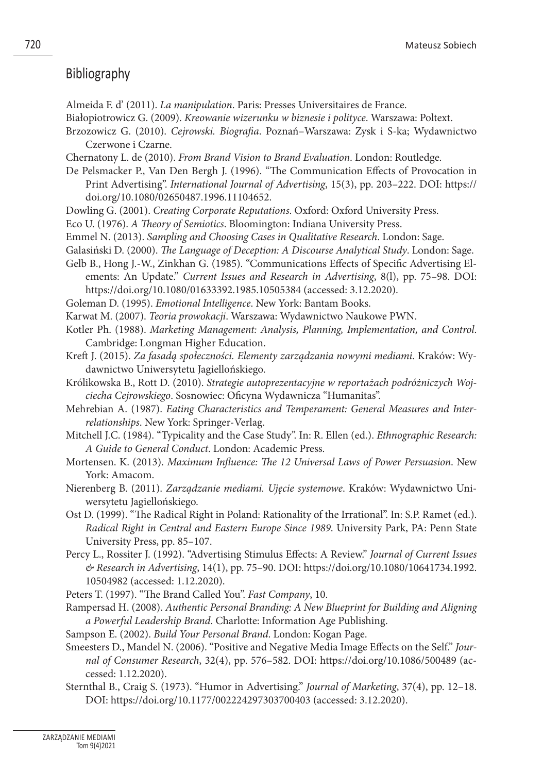#### **Bibliography**

- Almeida F. d' (2011). *La manipulation*. Paris: Presses Universitaires de France.
- Białopiotrowicz G. (2009). *Kreowanie wizerunku w biznesie i polityce*. Warszawa: Poltext.
- Brzozowicz G. (2010). *Cejrowski. Biografia*. Poznań–Warszawa: Zysk i S-ka; Wydawnictwo Czerwone i Czarne.
- Chernatony L. de (2010). *From Brand Vision to Brand Evaluation*. London: Routledge.
- De Pelsmacker P., Van Den Bergh J. (1996). "The Communication Effects of Provocation in Print Advertising". *International Journal of Advertising*, 15(3), pp. 203–222. DOI: https:// doi.org/10.1080/02650487.1996.11104652.
- Dowling G. (2001). *Creating Corporate Reputations*. Oxford: Oxford University Press.
- Eco U. (1976). *A Theory of Semiotics*. Bloomington: Indiana University Press.
- Emmel N. (2013). *Sampling and Choosing Cases in Qualitative Research*. London: Sage.
- Galasiński D. (2000). *The Language of Deception: A Discourse Analytical Study*. London: Sage.
- Gelb B., Hong J.-W., Zinkhan G. (1985). "Communications Effects of Specific Advertising Elements: An Update." *Current Issues and Research in Advertising*, 8(l), pp. 75–98. DOI: https://doi.org/10.1080/01633392.1985.10505384 (accessed: 3.12.2020).
- Goleman D. (1995). *Emotional Intelligence*. New York: Bantam Books.
- Karwat M. (2007). *Teoria prowokacji*. Warszawa: Wydawnictwo Naukowe PWN.
- Kotler Ph. (1988). *Marketing Management: Analysis, Planning, Implementation, and Control*. Cambridge: Longman Higher Education.
- Kreft J. (2015). *Za fasadą społeczności. Elementy zarządzania nowymi mediami*. Kraków: Wydawnictwo Uniwersytetu Jagiellońskiego.
- Królikowska B., Rott D. (2010). *Strategie autoprezentacyjne w reportażach podróżniczych Wojciecha Cejrowskiego*. Sosnowiec: Oficyna Wydawnicza "Humanitas".
- Mehrebian A. (1987). *Eating Characteristics and Temperament: General Measures and Interrelationships*. New York: Springer-Verlag.
- Mitchell J.C. (1984). "Typicality and the Case Study". In: R. Ellen (ed.). *Ethnographic Research: A Guide to General Conduct*. London: Academic Press.
- Mortensen. K. (2013). *Maximum Influence: The 12 Universal Laws of Power Persuasion*. New York: Amacom.
- Nierenberg B. (2011). *Zarządzanie mediami. Ujęcie systemowe*. Kraków: Wydawnictwo Uniwersytetu Jagiellońskiego.
- Ost D. (1999). "The Radical Right in Poland: Rationality of the Irrational". In: S.P. Ramet (ed.). *Radical Right in Central and Eastern Europe Since 1989*. University Park, PA: Penn State University Press, pp. 85–107.
- Percy L., Rossiter J. (1992). "Advertising Stimulus Effects: A Review." *Journal of Current Issues & Research in Advertising*, 14(1), pp. 75–90. DOI: https://doi.org/10.1080/10641734.1992. 10504982 (accessed: 1.12.2020).

Peters T. (1997). "The Brand Called You". *Fast Company*, 10.

- Rampersad H. (2008). *Authentic Personal Branding: A New Blueprint for Building and Aligning a Powerful Leadership Brand*. Charlotte: Information Age Publishing.
- Sampson E. (2002). *Build Your Personal Brand*. London: Kogan Page.
- Smeesters D., Mandel N. (2006). "Positive and Negative Media Image Effects on the Self." *Journal of Consumer Research*, 32(4), pp. 576–582. DOI: https://doi.org/10.1086/500489 (accessed: 1.12.2020).
- Sternthal B., Craig S. (1973). "Humor in Advertising." *Journal of Marketing*, 37(4), pp. 12–18. DOI: https://doi.org/10.1177/002224297303700403 (accessed: 3.12.2020).